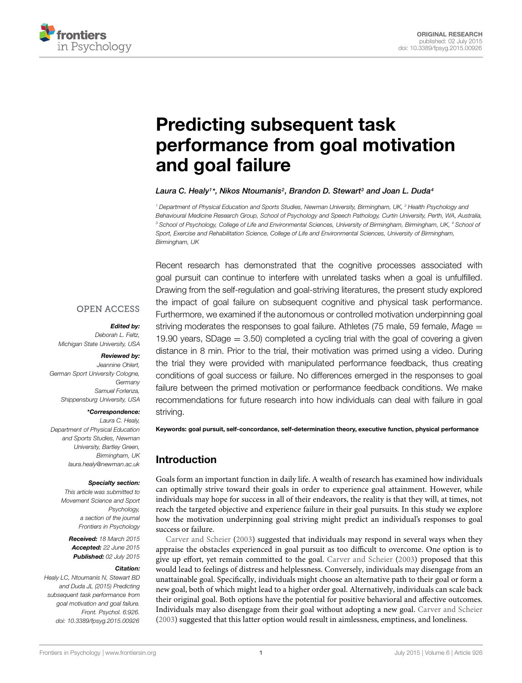

# Predicting subsequent task [performance from goal motivation](http://journal.frontiersin.org/article/10.3389/fpsyg.2015.00926/abstract) and goal failure

#### *[Laura C. Healy1](http://loop.frontiersin.org/people/222851)\*, [Nikos Ntoumanis2](http://loop.frontiersin.org/people/228103), [Brandon D. Stewart3](http://loop.frontiersin.org/people/237299) and [Joan L. Duda4](http://loop.frontiersin.org/people/229029)*

*<sup>1</sup> Department of Physical Education and Sports Studies, Newman University, Birmingham, UK, <sup>2</sup> Health Psychology and Behavioural Medicine Research Group, School of Psychology and Speech Pathology, Curtin University, Perth, WA, Australia, <sup>3</sup> School of Psychology, College of Life and Environmental Sciences, University of Birmingham, Birmingham, UK, <sup>4</sup> School of Sport, Exercise and Rehabilitation Science, College of Life and Environmental Sciences, University of Birmingham, Birmingham, UK*

Recent research has demonstrated that the cognitive processes associated with goal pursuit can continue to interfere with unrelated tasks when a goal is unfulfilled. Drawing from the self-regulation and goal-striving literatures, the present study explored the impact of goal failure on subsequent cognitive and physical task performance. Furthermore, we examined if the autonomous or controlled motivation underpinning goal striving moderates the responses to goal failure. Athletes (75 male, 59 female, *M*age = 19.90 years, SDage  $=$  3.50) completed a cycling trial with the goal of covering a given distance in 8 min. Prior to the trial, their motivation was primed using a video. During the trial they were provided with manipulated performance feedback, thus creating conditions of goal success or failure. No differences emerged in the responses to goal failure between the primed motivation or performance feedback conditions. We make recommendations for future research into how individuals can deal with failure in goal striving.

# **OPEN ACCESS**

#### *Edited by:*

*Deborah L. Feltz, Michigan State University, USA*

#### *Reviewed by:*

*Jeannine Ohlert, German Sport University Cologne, Germany Samuel Forlenza, Shippensburg University, USA*

#### *\*Correspondence:*

*Laura C. Healy, Department of Physical Education and Sports Studies, Newman University, Bartley Green, Birmingham, UK laura.healy@newman.ac.uk*

#### *Specialty section:*

*This article was submitted to Movement Science and Sport Psychology, a section of the journal Frontiers in Psychology*

*Received: 18 March 2015 Accepted: 22 June 2015 Published: 02 July 2015*

#### *Citation:*

*Healy LC, Ntoumanis N, Stewart BD and Duda JL (2015) Predicting subsequent task performance from goal motivation and goal failure. Front. Psychol. 6:926. doi: [10.3389/fpsyg.2015.00926](http://dx.doi.org/10.3389/fpsyg.2015.00926)*

Keywords: goal pursuit, self-concordance, self-determination theory, executive function, physical performance

# Introduction

Goals form an important function in daily life. A wealth of research has examined how individuals can optimally strive toward their goals in order to experience goal attainment. However, while individuals may hope for success in all of their endeavors, the reality is that they will, at times, not reach the targeted objective and experience failure in their goal pursuits. In this study we explore how the motivation underpinning goal striving might predict an individual's responses to goal success or failure.

[Carver and Scheier](#page-9-0) [\(2003\)](#page-9-0) suggested that individuals may respond in several ways when they appraise the obstacles experienced in goal pursuit as too difficult to overcome. One option is to give up effort, yet remain committed to the goal. [Carver and Scheier](#page-9-0) [\(2003\)](#page-9-0) proposed that this would lead to feelings of distress and helplessness. Conversely, individuals may disengage from an unattainable goal. Specifically, individuals might choose an alternative path to their goal or form a new goal, both of which might lead to a higher order goal. Alternatively, individuals can scale back their original goal. Both options have the potential for positive behavioral and affective outcomes. Individuals may also disengage from their goal without adopting a new goal. [Carver and Scheier](#page-9-0) [\(2003](#page-9-0)) suggested that this latter option would result in aimlessness, emptiness, and loneliness.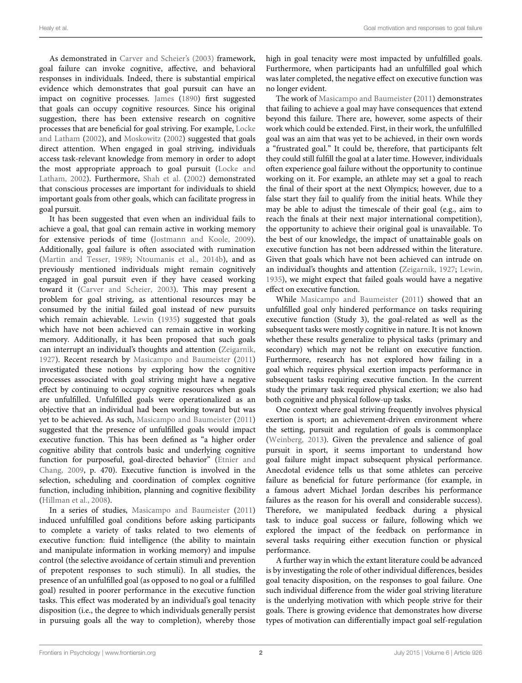As demonstrated in [Carver and Scheier](#page-9-0)'s [\(2003\)](#page-9-0) framework, goal failure can invoke cognitive, affective, and behavioral responses in individuals. Indeed, there is substantial empirical evidence which demonstrates that goal pursuit can have an impact on cognitive processes. [James](#page-10-0) [\(1890](#page-10-0)) first suggested that goals can occupy cognitive resources. Since his original suggestion, there has been extensive research on cognitive processes th[at are beneficial for goal striving. For example,](#page-10-1) Locke and Latham [\(2002\)](#page-10-1), and [Moskowitz](#page-10-2) [\(2002](#page-10-2)) suggested that goals direct attention. When engaged in goal striving, individuals access task-relevant knowledge from memory in order to adopt the m[ost appropriate approach to goal pursuit \(](#page-10-1)Locke and Latham, [2002\)](#page-10-1). Furthermore, [Shah et al.](#page-10-3) [\(2002](#page-10-3)) demonstrated that conscious processes are important for individuals to shield important goals from other goals, which can facilitate progress in goal pursuit.

It has been suggested that even when an individual fails to achieve a goal, that goal can remain active in working memory for extensive periods of time [\(Jostmann and Koole](#page-10-4), [2009](#page-10-4)). Additionally, goal failure is often associated with rumination [\(Martin and Tesser](#page-10-5), [1989;](#page-10-5) [Ntoumanis et al.](#page-10-6), [2014b](#page-10-6)), and as previously mentioned individuals might remain cognitively engaged in goal pursuit even if they have ceased working toward it [\(Carver and Scheier, 2003\)](#page-9-0). This may present a problem for goal striving, as attentional resources may be consumed by the initial failed goal instead of new pursuits which remain achievable. [Lewin](#page-10-7) [\(1935\)](#page-10-7) suggested that goals which have not been achieved can remain active in working memory. Additionally, it has been proposed that such goals can interrupt an individual's thoughts and attention [\(Zeigarnik](#page-10-8), [1927](#page-10-8)). Recent research by [Masicampo and Baumeister](#page-10-9) [\(2011](#page-10-9)) investigated these notions by exploring how the cognitive processes associated with goal striving might have a negative effect by continuing to occupy cognitive resources when goals are unfulfilled. Unfulfilled goals were operationalized as an objective that an individual had been working toward but was yet to be achieved. As such, [Masicampo and Baumeister](#page-10-9) [\(2011](#page-10-9)) suggested that the presence of unfulfilled goals would impact executive function. This has been defined as "a higher order cognitive ability that controls basic and underlying cognitive functi[on for purposeful, goal-directed behavior" \(](#page-9-1)Etnier and Chang, [2009](#page-9-1), p. 470). Executive function is involved in the selection, scheduling and coordination of complex cognitive function, including inhibition, planning and cognitive flexibility [\(Hillman et al., 2008](#page-10-10)).

In a series of studies, [Masicampo and Baumeister](#page-10-9) [\(2011](#page-10-9)) induced unfulfilled goal conditions before asking participants to complete a variety of tasks related to two elements of executive function: fluid intelligence (the ability to maintain and manipulate information in working memory) and impulse control (the selective avoidance of certain stimuli and prevention of prepotent responses to such stimuli). In all studies, the presence of an unfulfilled goal (as opposed to no goal or a fulfilled goal) resulted in poorer performance in the executive function tasks. This effect was moderated by an individual's goal tenacity disposition (i.e., the degree to which individuals generally persist in pursuing goals all the way to completion), whereby those

high in goal tenacity were most impacted by unfulfilled goals. Furthermore, when participants had an unfulfilled goal which was later completed, the negative effect on executive function was no longer evident.

The work of [Masicampo and Baumeister](#page-10-9) [\(2011](#page-10-9)) demonstrates that failing to achieve a goal may have consequences that extend beyond this failure. There are, however, some aspects of their work which could be extended. First, in their work, the unfulfilled goal was an aim that was yet to be achieved, in their own words a "frustrated goal." It could be, therefore, that participants felt they could still fulfill the goal at a later time. However, individuals often experience goal failure without the opportunity to continue working on it. For example, an athlete may set a goal to reach the final of their sport at the next Olympics; however, due to a false start they fail to qualify from the initial heats. While they may be able to adjust the timescale of their goal (e.g., aim to reach the finals at their next major international competition), the opportunity to achieve their original goal is unavailable. To the best of our knowledge, the impact of unattainable goals on executive function has not been addressed within the literature. Given that goals which have not been achieved can intrude on an individual's thoughts and attention [\(Zeigarnik, 1927](#page-10-8); [Lewin](#page-10-7), [1935\)](#page-10-7), we might expect that failed goals would have a negative effect on executive function.

While [Masicampo and Baumeister](#page-10-9) [\(2011\)](#page-10-9) showed that an unfulfilled goal only hindered performance on tasks requiring executive function (Study 3), the goal-related as well as the subsequent tasks were mostly cognitive in nature. It is not known whether these results generalize to physical tasks (primary and secondary) which may not be reliant on executive function. Furthermore, research has not explored how failing in a goal which requires physical exertion impacts performance in subsequent tasks requiring executive function. In the current study the primary task required physical exertion; we also had both cognitive and physical follow-up tasks.

One context where goal striving frequently involves physical exertion is sport; an achievement-driven environment where the setting, pursuit and regulation of goals is commonplace [\(Weinberg](#page-10-11), [2013](#page-10-11)). Given the prevalence and salience of goal pursuit in sport, it seems important to understand how goal failure might impact subsequent physical performance. Anecdotal evidence tells us that some athletes can perceive failure as beneficial for future performance (for example, in a famous advert Michael Jordan describes his performance failures as the reason for his overall and considerable success). Therefore, we manipulated feedback during a physical task to induce goal success or failure, following which we explored the impact of the feedback on performance in several tasks requiring either execution function or physical performance.

A further way in which the extant literature could be advanced is by investigating the role of other individual differences, besides goal tenacity disposition, on the responses to goal failure. One such individual difference from the wider goal striving literature is the underlying motivation with which people strive for their goals. There is growing evidence that demonstrates how diverse types of motivation can differentially impact goal self-regulation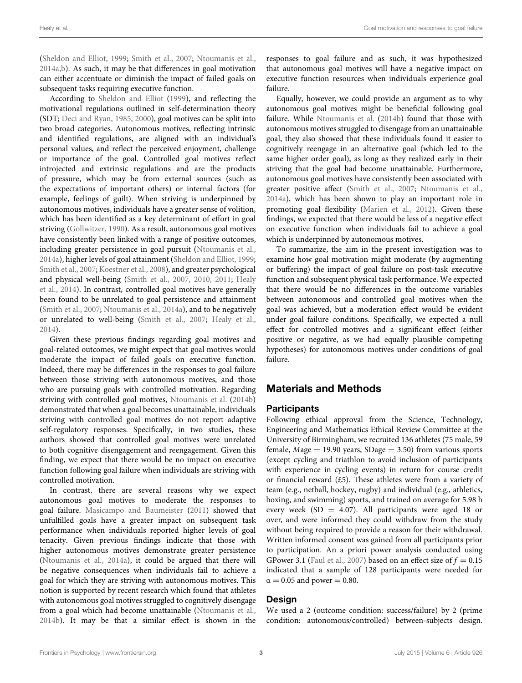[\(Sheldon and Elliot, 1999;](#page-10-12) [Smith et al.](#page-10-13), [2007](#page-10-13); [Ntoumanis et al.,](#page-10-14) [2014a](#page-10-14)[,b\)](#page-10-6). As such, it may be that differences in goal motivation can either accentuate or diminish the impact of failed goals on subsequent tasks requiring executive function.

According to [Sheldon and Elliot](#page-10-12) [\(1999\)](#page-10-12), and reflecting the motivational regulations outlined in self-determination theory (SDT; [Deci and Ryan, 1985,](#page-9-2) [2000](#page-9-3)), goal motives can be split into two broad categories. Autonomous motives, reflecting intrinsic and identified regulations, are aligned with an individual's personal values, and reflect the perceived enjoyment, challenge or importance of the goal. Controlled goal motives reflect introjected and extrinsic regulations and are the products of pressure, which may be from external sources (such as the expectations of important others) or internal factors (for example, feelings of guilt). When striving is underpinned by autonomous motives, individuals have a greater sense of volition, which has been identified as a key determinant of effort in goal striving [\(Gollwitzer](#page-10-15), [1990](#page-10-15)). As a result, autonomous goal motives have consistently been linked with a range of positive outcomes, including greater persistence in goal pursuit [\(Ntoumanis et al.,](#page-10-14) [2014a\)](#page-10-14), higher levels of goal attainment [\(Sheldon and Elliot](#page-10-12), [1999;](#page-10-12) [Smith et al.](#page-10-13), [2007](#page-10-13); [Koestner et al., 2008\)](#page-10-16), and greater psychological and [physical well-being](#page-10-19) [\(Smith et al.](#page-10-13)[,](#page-10-19) [2007](#page-10-13)[,](#page-10-19) [2010,](#page-10-17) [2011;](#page-10-18) Healy et al., [2014](#page-10-19)). In contrast, controlled goal motives have generally been found to be unrelated to goal persistence and attainment [\(Smith et al.](#page-10-13), [2007](#page-10-13); [Ntoumanis et al.](#page-10-14), [2014a](#page-10-14)), and to be negatively or unrelated to well-being [\(Smith et al.](#page-10-13), [2007;](#page-10-13) [Healy et al.,](#page-10-19) [2014](#page-10-19)).

Given these previous findings regarding goal motives and goal-related outcomes, we might expect that goal motives would moderate the impact of failed goals on executive function. Indeed, there may be differences in the responses to goal failure between those striving with autonomous motives, and those who are pursuing goals with controlled motivation. Regarding striving with controlled goal motives, [Ntoumanis et al.](#page-10-6) [\(2014b](#page-10-6)) demonstrated that when a goal becomes unattainable, individuals striving with controlled goal motives do not report adaptive self-regulatory responses. Specifically, in two studies, these authors showed that controlled goal motives were unrelated to both cognitive disengagement and reengagement. Given this finding, we expect that there would be no impact on executive function following goal failure when individuals are striving with controlled motivation.

In contrast, there are several reasons why we expect autonomous goal motives to moderate the responses to goal failure. [Masicampo and Baumeister](#page-10-9) [\(2011](#page-10-9)) showed that unfulfilled goals have a greater impact on subsequent task performance when individuals reported higher levels of goal tenacity. Given previous findings indicate that those with higher autonomous motives demonstrate greater persistence [\(Ntoumanis et al.](#page-10-14), [2014a](#page-10-14)), it could be argued that there will be negative consequences when individuals fail to achieve a goal for which they are striving with autonomous motives. This notion is supported by recent research which found that athletes with autonomous goal motives struggled to cognitively disengage from a goal which had become unattainable [\(Ntoumanis et al.,](#page-10-6) [2014b](#page-10-6)). It may be that a similar effect is shown in the responses to goal failure and as such, it was hypothesized that autonomous goal motives will have a negative impact on executive function resources when individuals experience goal failure.

Equally, however, we could provide an argument as to why autonomous goal motives might be beneficial following goal failure. While [Ntoumanis et al.](#page-10-6) [\(2014b](#page-10-6)) found that those with autonomous motives struggled to disengage from an unattainable goal, they also showed that these individuals found it easier to cognitively reengage in an alternative goal (which led to the same higher order goal), as long as they realized early in their striving that the goal had become unattainable. Furthermore, autonomous goal motives have consistently been associated with greater positive affect [\(Smith et al.](#page-10-13), [2007;](#page-10-13) [Ntoumanis et al.](#page-10-14), [2014a](#page-10-14)), which has been shown to play an important role in promoting goal flexibility [\(Marien et al., 2012\)](#page-10-20). Given these findings, we expected that there would be less of a negative effect on executive function when individuals fail to achieve a goal which is underpinned by autonomous motives.

To summarize, the aim in the present investigation was to examine how goal motivation might moderate (by augmenting or buffering) the impact of goal failure on post-task executive function and subsequent physical task performance. We expected that there would be no differences in the outcome variables between autonomous and controlled goal motives when the goal was achieved, but a moderation effect would be evident under goal failure conditions. Specifically, we expected a null effect for controlled motives and a significant effect (either positive or negative, as we had equally plausible competing hypotheses) for autonomous motives under conditions of goal failure.

## Materials and Methods

#### **Participants**

Following ethical approval from the Science, Technology, Engineering and Mathematics Ethical Review Committee at the University of Birmingham, we recruited 136 athletes (75 male, 59 female,  $Mage = 19.90$  years,  $SDage = 3.50$ ) from various sports (except cycling and triathlon to avoid inclusion of participants with experience in cycling events) in return for course credit or financial reward  $(£5)$ . These athletes were from a variety of team (e.g., netball, hockey, rugby) and individual (e.g., athletics, boxing, and swimming) sports, and trained on average for 5.98 h every week (SD = 4.07). All participants were aged 18 or over, and were informed they could withdraw from the study without being required to provide a reason for their withdrawal. Written informed consent was gained from all participants prior to participation. An a priori power analysis conducted using GPower 3.1 [\(Faul et al., 2007](#page-10-21)) based on an effect size of  $f = 0.15$ indicated that a sample of 128 participants were needed for  $\alpha = 0.05$  and power = 0.80.

#### Design

We used a 2 (outcome condition: success/failure) by 2 (prime condition: autonomous/controlled) between-subjects design.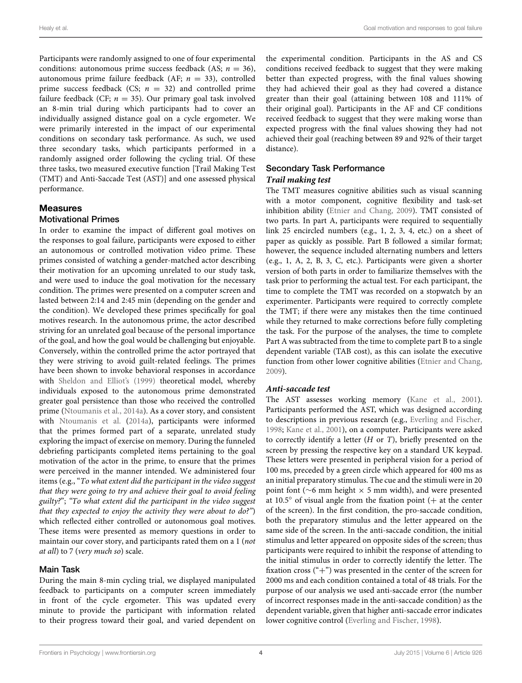Participants were randomly assigned to one of four experimental conditions: autonomous prime success feedback (AS;  $n = 36$ ), autonomous prime failure feedback (AF; *n* = 33), controlled prime success feedback (CS;  $n = 32$ ) and controlled prime failure feedback (CF;  $n = 35$ ). Our primary goal task involved an 8-min trial during which participants had to cover an individually assigned distance goal on a cycle ergometer. We were primarily interested in the impact of our experimental conditions on secondary task performance. As such, we used three secondary tasks, which participants performed in a randomly assigned order following the cycling trial. Of these three tasks, two measured executive function [Trail Making Test (TMT) and Anti-Saccade Test (AST)] and one assessed physical performance.

## Measures

#### Motivational Primes

In order to examine the impact of different goal motives on the responses to goal failure, participants were exposed to either an autonomous or controlled motivation video prime. These primes consisted of watching a gender-matched actor describing their motivation for an upcoming unrelated to our study task, and were used to induce the goal motivation for the necessary condition. The primes were presented on a computer screen and lasted between 2:14 and 2:45 min (depending on the gender and the condition). We developed these primes specifically for goal motives research. In the autonomous prime, the actor described striving for an unrelated goal because of the personal importance of the goal, and how the goal would be challenging but enjoyable. Conversely, within the controlled prime the actor portrayed that they were striving to avoid guilt-related feelings. The primes have been shown to invoke behavioral responses in accordance with [Sheldon and Elliot'](#page-10-12)s [\(1999](#page-10-12)) theoretical model, whereby individuals exposed to the autonomous prime demonstrated greater goal persistence than those who received the controlled prime [\(Ntoumanis et al.](#page-10-14), [2014a](#page-10-14)). As a cover story, and consistent with [Ntoumanis et al.](#page-10-14) [\(2014a](#page-10-14)), participants were informed that the primes formed part of a separate, unrelated study exploring the impact of exercise on memory. During the funneled debriefing participants completed items pertaining to the goal motivation of the actor in the prime, to ensure that the primes were perceived in the manner intended. We administered four items (e.g., "*To what extent did the participant in the video suggest that they were going to try and achieve their goal to avoid feeling guilty?*"; *"To what extent did the participant in the video suggest that they expected to enjoy the activity they were about to do?"*) which reflected either controlled or autonomous goal motives. These items were presented as memory questions in order to maintain our cover story, and participants rated them on a 1 (*not at all*) to 7 (*very much so*) scale.

#### Main Task

During the main 8-min cycling trial, we displayed manipulated feedback to participants on a computer screen immediately in front of the cycle ergometer. This was updated every minute to provide the participant with information related to their progress toward their goal, and varied dependent on

the experimental condition. Participants in the AS and CS conditions received feedback to suggest that they were making better than expected progress, with the final values showing they had achieved their goal as they had covered a distance greater than their goal (attaining between 108 and 111% of their original goal). Participants in the AF and CF conditions received feedback to suggest that they were making worse than expected progress with the final values showing they had not achieved their goal (reaching between 89 and 92% of their target distance).

# Secondary Task Performance

## *Trail making test*

The TMT measures cognitive abilities such as visual scanning with a motor component, cognitive flexibility and task-set inhibition ability [\(Etnier and Chang](#page-9-1), [2009\)](#page-9-1). TMT consisted of two parts. In part A, participants were required to sequentially link 25 encircled numbers (e.g., 1, 2, 3, 4, etc.) on a sheet of paper as quickly as possible. Part B followed a similar format; however, the sequence included alternating numbers and letters (e.g., 1, A, 2, B, 3, C, etc.). Participants were given a shorter version of both parts in order to familiarize themselves with the task prior to performing the actual test. For each participant, the time to complete the TMT was recorded on a stopwatch by an experimenter. Participants were required to correctly complete the TMT; if there were any mistakes then the time continued while they returned to make corrections before fully completing the task. For the purpose of the analyses, the time to complete Part A was subtracted from the time to complete part B to a single dependent variable (TAB cost), as this can isolate the executive function from other lower cognitive abilities [\(Etnier and Chang](#page-9-1), [2009\)](#page-9-1).

## *Anti-saccade test*

The AST assesses working memory [\(Kane et al.](#page-10-22), [2001\)](#page-10-22). Participants performed the AST, which was designed according to descriptions in previous research (e.g., [Everling and Fischer](#page-10-23), [1998;](#page-10-23) [Kane et al.](#page-10-22), [2001](#page-10-22)), on a computer. Participants were asked to correctly identify a letter (*H* or *T*), briefly presented on the screen by pressing the respective key on a standard UK keypad. These letters were presented in peripheral vision for a period of 100 ms, preceded by a green circle which appeared for 400 ms as an initial preparatory stimulus. The cue and the stimuli were in 20 point font (∼6 mm height × 5 mm width), and were presented at  $10.5°$  of visual angle from the fixation point (+ at the center of the screen). In the first condition, the pro-saccade condition, both the preparatory stimulus and the letter appeared on the same side of the screen. In the anti-saccade condition, the initial stimulus and letter appeared on opposite sides of the screen; thus participants were required to inhibit the response of attending to the initial stimulus in order to correctly identify the letter. The fixation cross  $("+")$  was presented in the center of the screen for 2000 ms and each condition contained a total of 48 trials. For the purpose of our analysis we used anti-saccade error (the number of incorrect responses made in the anti-saccade condition) as the dependent variable, given that higher anti-saccade error indicates lower cognitive control [\(Everling and Fischer](#page-10-23), [1998](#page-10-23)).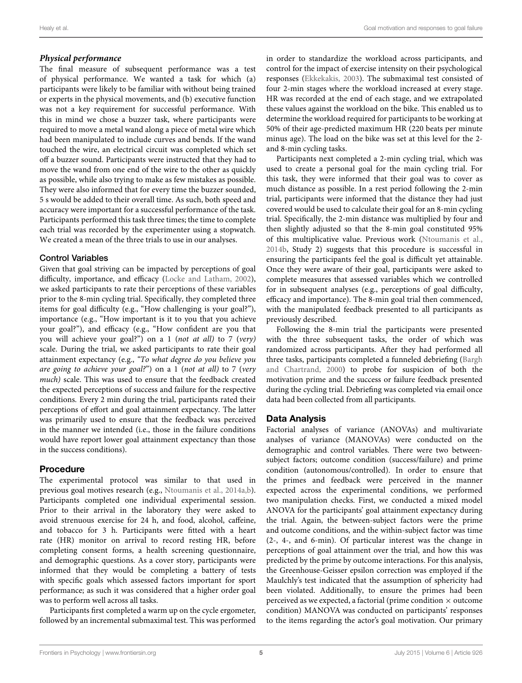## *Physical performance*

The final measure of subsequent performance was a test of physical performance. We wanted a task for which (a) participants were likely to be familiar with without being trained or experts in the physical movements, and (b) executive function was not a key requirement for successful performance. With this in mind we chose a buzzer task, where participants were required to move a metal wand along a piece of metal wire which had been manipulated to include curves and bends. If the wand touched the wire, an electrical circuit was completed which set off a buzzer sound. Participants were instructed that they had to move the wand from one end of the wire to the other as quickly as possible, while also trying to make as few mistakes as possible. They were also informed that for every time the buzzer sounded, 5 s would be added to their overall time. As such, both speed and accuracy were important for a successful performance of the task. Participants performed this task three times; the time to complete each trial was recorded by the experimenter using a stopwatch. We created a mean of the three trials to use in our analyses.

## Control Variables

Given that goal striving can be impacted by perceptions of goal difficulty, importance, and efficacy [\(Locke and Latham](#page-10-1), [2002](#page-10-1)), we asked participants to rate their perceptions of these variables prior to the 8-min cycling trial. Specifically, they completed three items for goal difficulty (e.g., "How challenging is your goal?"), importance (e.g., "How important is it to you that you achieve your goal?"), and efficacy (e.g., "How confident are you that you will achieve your goal?") on a 1 (*not at all)* to 7 (*very)* scale. During the trial, we asked participants to rate their goal attainment expectancy (e.g., *"To what degree do you believe you are going to achieve your goal?*") on a 1 (*not at all)* to 7 (*very much)* scale. This was used to ensure that the feedback created the expected perceptions of success and failure for the respective conditions. Every 2 min during the trial, participants rated their perceptions of effort and goal attainment expectancy. The latter was primarily used to ensure that the feedback was perceived in the manner we intended (i.e., those in the failure conditions would have report lower goal attainment expectancy than those in the success conditions).

## Procedure

The experimental protocol was similar to that used in previous goal motives research (e.g., [Ntoumanis et al.](#page-10-14), [2014a](#page-10-14)[,b](#page-10-6)). Participants completed one individual experimental session. Prior to their arrival in the laboratory they were asked to avoid strenuous exercise for 24 h, and food, alcohol, caffeine, and tobacco for 3 h. Participants were fitted with a heart rate (HR) monitor on arrival to record resting HR, before completing consent forms, a health screening questionnaire, and demographic questions. As a cover story, participants were informed that they would be completing a battery of tests with specific goals which assessed factors important for sport performance; as such it was considered that a higher order goal was to perform well across all tasks.

Participants first completed a warm up on the cycle ergometer, followed by an incremental submaximal test. This was performed

in order to standardize the workload across participants, and control for the impact of exercise intensity on their psychological responses [\(Ekkekakis, 2003\)](#page-9-4). The submaximal test consisted of four 2-min stages where the workload increased at every stage. HR was recorded at the end of each stage, and we extrapolated these values against the workload on the bike. This enabled us to determine the workload required for participants to be working at 50% of their age-predicted maximum HR (220 beats per minute minus age). The load on the bike was set at this level for the 2 and 8-min cycling tasks.

Participants next completed a 2-min cycling trial, which was used to create a personal goal for the main cycling trial. For this task, they were informed that their goal was to cover as much distance as possible. In a rest period following the 2-min trial, participants were informed that the distance they had just covered would be used to calculate their goal for an 8-min cycling trial. Specifically, the 2-min distance was multiplied by four and then slightly adjusted so that the 8-min goal constituted 95% of this multiplicative value. Previous work [\(Ntoumanis et al.](#page-10-6), [2014b,](#page-10-6) Study 2) suggests that this procedure is successful in ensuring the participants feel the goal is difficult yet attainable. Once they were aware of their goal, participants were asked to complete measures that assessed variables which we controlled for in subsequent analyses (e.g., perceptions of goal difficulty, efficacy and importance). The 8-min goal trial then commenced, with the manipulated feedback presented to all participants as previously described.

Following the 8-min trial the participants were presented with the three subsequent tasks, the order of which was randomized across participants. After they had performed all three tasks, par[ticipants completed a funneled debriefing \(](#page-9-5)Bargh and Chartrand, [2000\)](#page-9-5) to probe for suspicion of both the motivation prime and the success or failure feedback presented during the cycling trial. Debriefing was completed via email once data had been collected from all participants.

## Data Analysis

Factorial analyses of variance (ANOVAs) and multivariate analyses of variance (MANOVAs) were conducted on the demographic and control variables. There were two betweensubject factors; outcome condition (success/failure) and prime condition (autonomous/controlled). In order to ensure that the primes and feedback were perceived in the manner expected across the experimental conditions, we performed two manipulation checks. First, we conducted a mixed model ANOVA for the participants' goal attainment expectancy during the trial. Again, the between-subject factors were the prime and outcome conditions, and the within-subject factor was time (2-, 4-, and 6-min). Of particular interest was the change in perceptions of goal attainment over the trial, and how this was predicted by the prime by outcome interactions. For this analysis, the Greenhouse-Geisser epsilon correction was employed if the Maulchly's test indicated that the assumption of sphericity had been violated. Additionally, to ensure the primes had been perceived as we expected, a factorial (prime condition  $\times$  outcome condition) MANOVA was conducted on participants' responses to the items regarding the actor's goal motivation. Our primary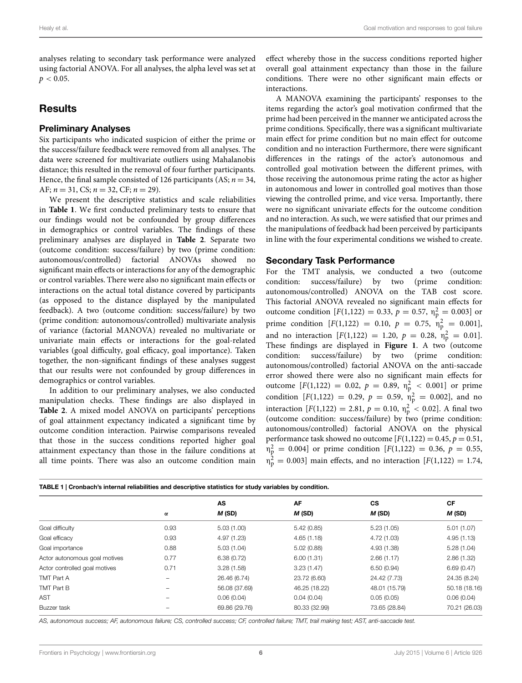analyses relating to secondary task performance were analyzed using factorial ANOVA. For all analyses, the alpha level was set at  $p < 0.05$ .

## **Results**

#### Preliminary Analyses

Six participants who indicated suspicion of either the prime or the success/failure feedback were removed from all analyses. The data were screened for multivariate outliers using Mahalanobis distance; this resulted in the removal of four further participants. Hence, the final sample consisted of 126 participants (AS;  $n = 34$ , AF;  $n = 31$ , CS;  $n = 32$ , CF;  $n = 29$ ).

We present the descriptive statistics and scale reliabilities in **[Table 1](#page-5-0)**. We first conducted preliminary tests to ensure that our findings would not be confounded by group differences in demographics or control variables. The findings of these preliminary analyses are displayed in **[Table 2](#page-6-0)**. Separate two (outcome condition: success/failure) by two (prime condition: autonomous/controlled) factorial ANOVAs showed no significant main effects or interactions for any of the demographic or control variables. There were also no significant main effects or interactions on the actual total distance covered by participants (as opposed to the distance displayed by the manipulated feedback). A two (outcome condition: success/failure) by two (prime condition: autonomous/controlled) multivariate analysis of variance (factorial MANOVA) revealed no multivariate or univariate main effects or interactions for the goal-related variables (goal difficulty, goal efficacy, goal importance). Taken together, the non-significant findings of these analyses suggest that our results were not confounded by group differences in demographics or control variables.

In addition to our preliminary analyses, we also conducted manipulation checks. These findings are also displayed in **[Table 2](#page-6-0)**. A mixed model ANOVA on participants' perceptions of goal attainment expectancy indicated a significant time by outcome condition interaction. Pairwise comparisons revealed that those in the success conditions reported higher goal attainment expectancy than those in the failure conditions at all time points. There was also an outcome condition main

effect whereby those in the success conditions reported higher overall goal attainment expectancy than those in the failure conditions. There were no other significant main effects or interactions.

A MANOVA examining the participants' responses to the items regarding the actor's goal motivation confirmed that the prime had been perceived in the manner we anticipated across the prime conditions. Specifically, there was a significant multivariate main effect for prime condition but no main effect for outcome condition and no interaction Furthermore, there were significant differences in the ratings of the actor's autonomous and controlled goal motivation between the different primes, with those receiving the autonomous prime rating the actor as higher in autonomous and lower in controlled goal motives than those viewing the controlled prime, and vice versa. Importantly, there were no significant univariate effects for the outcome condition and no interaction. As such, we were satisfied that our primes and the manipulations of feedback had been perceived by participants in line with the four experimental conditions we wished to create.

#### Secondary Task Performance

For the TMT analysis, we conducted a two (outcome condition: success/failure) by two (prime condition: autonomous/controlled) ANOVA on the TAB cost score. This factorial ANOVA revealed no significant main effects for outcome condition  $[F(1,122) = 0.33, p = 0.57, \eta_{p}^{2} = 0.003]$  or prime condition  $[F(1,122) = 0.10, p = 0.75, \eta_p^2 = 0.001]$ , and no interaction  $[F(1,122) = 1.20, p = 0.28, \eta_{p}^{2} = 0.01].$ These findings are displayed in **[Figure 1](#page-7-0)**. A two (outcome condition: success/failure) by two (prime condition: autonomous/controlled) factorial ANOVA on the anti-saccade error showed there were also no significant main effects for outcome  $[F(1,122) = 0.02, p = 0.89, \eta_{\rm p}^2 < 0.001]$  or prime condition  $[F(1,122) = 0.29, p = 0.59, \eta_{p}^{2} = 0.002]$ , and no interaction  $[F(1,122) = 2.81, p = 0.10, \eta_{\rm p}^2 < 0.02]$ . A final two (outcome condition: success/failure) by two (prime condition: autonomous/controlled) factorial ANOVA on the physical performance task showed no outcome  $[F(1,122) = 0.45, p = 0.51,$  $\eta_p^2 = 0.004$ ] or prime condition [*F*(1,122) = 0.36, *p* = 0.55,  $\eta_{\rm n}^2$  $p = 0.003$ ] main effects, and no interaction [ $F(1,122) = 1.74$ ,

<span id="page-5-0"></span>

| TABLE 1   Cronbach's internal reliabilities and descriptive statistics for study variables by condition. |                |               |               |               |               |  |  |  |
|----------------------------------------------------------------------------------------------------------|----------------|---------------|---------------|---------------|---------------|--|--|--|
|                                                                                                          |                | AS            | AF            | <b>CS</b>     | <b>CF</b>     |  |  |  |
|                                                                                                          | $\pmb{\alpha}$ | M (SD)        | $M$ (SD)      | M(SD)         | M(SD)         |  |  |  |
| Goal difficulty                                                                                          | 0.93           | 5.03(1.00)    | 5.42(0.85)    | 5.23(1.05)    | 5.01(1.07)    |  |  |  |
| Goal efficacy                                                                                            | 0.93           | 4.97 (1.23)   | 4.65(1.18)    | 4.72 (1.03)   | 4.95(1.13)    |  |  |  |
| Goal importance                                                                                          | 0.88           | 5.03(1.04)    | 5.02(0.88)    | 4.93 (1.38)   | 5.28(1.04)    |  |  |  |
| Actor autonomous goal motives                                                                            | 0.77           | 6.38(0.72)    | 6.00(1.31)    | 2.66(1.17)    | 2.86(1.32)    |  |  |  |
| Actor controlled goal motives                                                                            | 0.71           | 3.28(1.58)    | 3.23(1.47)    | 6.50(0.94)    | 6.69(0.47)    |  |  |  |
| TMT Part A                                                                                               |                | 26.46 (6.74)  | 23.72 (6.60)  | 24.42 (7.73)  | 24.35 (8.24)  |  |  |  |
| TMT Part B                                                                                               |                | 56.08 (37.69) | 46.25 (18.22) | 48.01 (15.79) | 50.18 (18.16) |  |  |  |
| <b>AST</b>                                                                                               |                | 0.06(0.04)    | 0.04(0.04)    | 0.05(0.05)    | 0.06(0.04)    |  |  |  |
| Buzzer task                                                                                              |                | 69.86 (29.76) | 80.33 (32.99) | 73.65 (28.84) | 70.21 (26.03) |  |  |  |

*AS, autonomous success; AF, autonomous failure; CS, controlled success; CF, controlled failure; TMT, trail making test; AST, anti-saccade test.*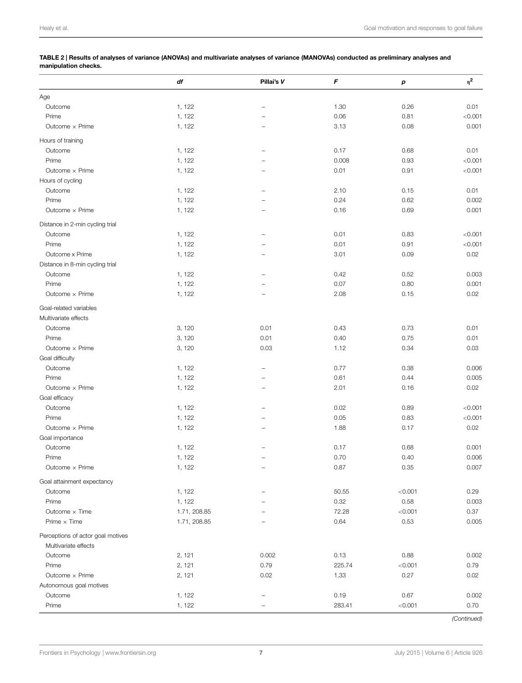<span id="page-6-0"></span>TABLE 2 | Results of analyses of variance (ANOVAs) and multivariate analyses of variance (MANOVAs) conducted as preliminary analyses and manipulation checks.

|                                   | df           | Pillai's V               | F      | р       | $\eta^2$ |
|-----------------------------------|--------------|--------------------------|--------|---------|----------|
| Age                               |              |                          |        |         |          |
| Outcome                           | 1, 122       | $\overline{\phantom{0}}$ | 1.30   | 0.26    | 0.01     |
| Prime                             | 1, 122       |                          | 0.06   | 0.81    | < 0.001  |
| Outcome x Prime                   | 1, 122       | $\overline{\phantom{0}}$ | 3.13   | 0.08    | 0.001    |
|                                   |              |                          |        |         |          |
| Hours of training                 |              |                          | 0.17   |         | 0.01     |
| Outcome                           | 1, 122       |                          |        | 0.68    |          |
| Prime                             | 1, 122       |                          | 0.008  | 0.93    | < 0.001  |
| Outcome x Prime                   | 1, 122       | $\overline{\phantom{0}}$ | 0.01   | 0.91    | < 0.001  |
| Hours of cycling                  |              |                          |        |         |          |
| Outcome                           | 1, 122       | $\overline{\phantom{0}}$ | 2.10   | 0.15    | 0.01     |
| Prime                             | 1, 122       |                          | 0.24   | 0.62    | 0.002    |
| Outcome x Prime                   | 1, 122       | $\overline{\phantom{0}}$ | 0.16   | 0.69    | 0.001    |
| Distance in 2-min cycling trial   |              |                          |        |         |          |
| Outcome                           | 1, 122       |                          | 0.01   | 0.83    | < 0.001  |
| Prime                             | 1, 122       |                          | 0.01   | 0.91    | < 0.001  |
| Outcome x Prime                   | 1, 122       |                          | 3.01   | 0.09    | 0.02     |
| Distance in 8-min cycling trial   |              |                          |        |         |          |
| Outcome                           | 1, 122       |                          | 0.42   | 0.52    | 0.003    |
| Prime                             | 1, 122       |                          | 0.07   | 0.80    | 0.001    |
| Outcome x Prime                   | 1, 122       | $\overline{\phantom{0}}$ | 2.08   | 0.15    | 0.02     |
| Goal-related variables            |              |                          |        |         |          |
| Multivariate effects              |              |                          |        |         |          |
|                                   |              |                          |        |         |          |
| Outcome                           | 3, 120       | 0.01                     | 0.43   | 0.73    | 0.01     |
| Prime                             | 3, 120       | 0.01                     | 0.40   | 0.75    | 0.01     |
| Outcome x Prime                   | 3, 120       | 0.03                     | 1.12   | 0.34    | 0.03     |
| Goal difficulty                   |              |                          |        |         |          |
| Outcome                           | 1, 122       |                          | 0.77   | 0.38    | 0.006    |
| Prime                             | 1, 122       |                          | 0.61   | 0.44    | 0.005    |
| Outcome x Prime                   | 1, 122       |                          | 2.01   | 0.16    | 0.02     |
| Goal efficacy                     |              |                          |        |         |          |
| Outcome                           | 1, 122       |                          | 0.02   | 0.89    | < 0.001  |
| Prime                             | 1, 122       |                          | 0.05   | 0.83    | < 0.001  |
| Outcome x Prime                   | 1, 122       |                          | 1.88   | 0.17    | 0.02     |
| Goal importance                   |              |                          |        |         |          |
| Outcome                           | 1, 122       |                          | 0.17   | 0.68    | 0.001    |
| Prime                             | 1, 122       |                          | 0.70   | 0.40    | 0.006    |
| Outcome $\times$ Prime            | 1, 122       |                          | 0.87   | 0.35    | 0.007    |
| Goal attainment expectancy        |              |                          |        |         |          |
| Outcome                           | 1, 122       |                          | 50.55  | < 0.001 | 0.29     |
| Prime                             | 1, 122       |                          | 0.32   | 0.58    | 0.003    |
| Outcome $\times$ Time             | 1.71, 208.85 |                          | 72.28  | < 0.001 | 0.37     |
| Prime $\times$ Time               | 1.71, 208.85 | -                        | 0.64   | 0.53    | 0.005    |
|                                   |              |                          |        |         |          |
| Perceptions of actor goal motives |              |                          |        |         |          |
| Multivariate effects              |              |                          |        |         |          |
| Outcome                           | 2, 121       | 0.002                    | 0.13   | 0.88    | 0.002    |
| Prime                             | 2, 121       | 0.79                     | 225.74 | < 0.001 | 0.79     |
| Outcome x Prime                   | 2, 121       | 0.02                     | 1.33   | 0.27    | 0.02     |
| Autonomous goal motives           |              |                          |        |         |          |
| Outcome                           | 1, 122       |                          | 0.19   | 0.67    | 0.002    |
| Prime                             | 1, 122       |                          | 283.41 | < 0.001 | 0.70     |

*(Continued)*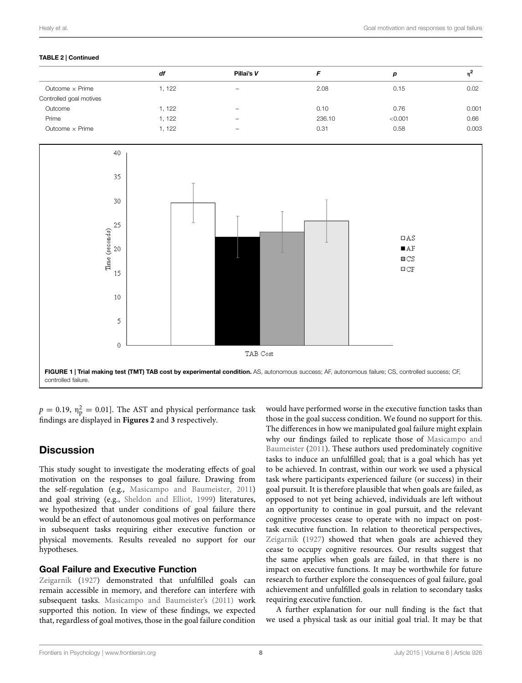#### TABLE 2 | Continued

|                         | df     | Pillai's V               |        | р       |       |
|-------------------------|--------|--------------------------|--------|---------|-------|
| Outcome $\times$ Prime  | 1, 122 |                          | 2.08   | 0.15    | 0.02  |
| Controlled goal motives |        | $\overline{\phantom{a}}$ |        |         |       |
| Outcome                 | 1, 122 | $\overline{\phantom{a}}$ | 0.10   | 0.76    | 0.001 |
| Prime                   | 1, 122 | $\overline{\phantom{0}}$ | 236.10 | < 0.001 | 0.66  |
| Outcome $\times$ Prime  | 1.122  | $\overline{\phantom{a}}$ | 0.31   | 0.58    | 0.003 |



<span id="page-7-0"></span> $p = 0.19$ ,  $\eta_p^2 = 0.01$ ]. The AST and physical performance task findings are displayed in **[Figures 2](#page-8-0)** and **[3](#page-8-0)** respectively.

# **Discussion**

This study sought to investigate the moderating effects of goal motivation on the responses to goal failure. Drawing from the self-regulation (e.g., [Masicampo and Baumeister](#page-10-9), [2011](#page-10-9)) and goal striving (e.g., [Sheldon and Elliot](#page-10-12), [1999\)](#page-10-12) literatures, we hypothesized that under conditions of goal failure there would be an effect of autonomous goal motives on performance in subsequent tasks requiring either executive function or physical movements. Results revealed no support for our hypotheses.

#### [Goal](#page-10-8) [Fa](#page-10-8)ilure and Executive Function

Zeigarnik [\(1927\)](#page-10-8) demonstrated that unfulfilled goals can remain accessible in memory, and therefore can interfere with subsequent tasks. [Masicampo and Baumeister'](#page-10-9)s [\(2011](#page-10-9)) work supported this notion. In view of these findings, we expected that, regardless of goal motives, those in the goal failure condition

would have performed worse in the executive function tasks than those in the goal success condition. We found no support for this. The differences in how we manipulated goal failure might explain why our fi[ndings](#page-10-9) [failed](#page-10-9) [to](#page-10-9) [replicate](#page-10-9) [those](#page-10-9) [of](#page-10-9) Masicampo and Baumeister [\(2011\)](#page-10-9). These authors used predominately cognitive tasks to induce an unfulfilled goal; that is a goal which has yet to be achieved. In contrast, within our work we used a physical task where participants experienced failure (or success) in their goal pursuit. It is therefore plausible that when goals are failed, as opposed to not yet being achieved, individuals are left without an opportunity to continue in goal pursuit, and the relevant cognitive processes cease to operate with no impact on posttask executive function. In relation to theoretical perspectives, [Zeigarnik](#page-10-8) [\(1927\)](#page-10-8) showed that when goals are achieved they cease to occupy cognitive resources. Our results suggest that the same applies when goals are failed, in that there is no impact on executive functions. It may be worthwhile for future research to further explore the consequences of goal failure, goal achievement and unfulfilled goals in relation to secondary tasks requiring executive function.

A further explanation for our null finding is the fact that we used a physical task as our initial goal trial. It may be that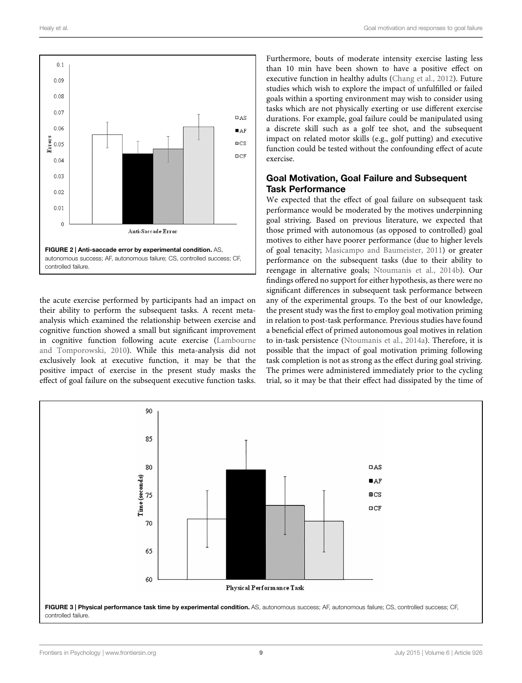

<span id="page-8-0"></span>the acute exercise performed by participants had an impact on their ability to perform the subsequent tasks. A recent metaanalysis which examined the relationship between exercise and cognitive function showed a small but significant improvement in cognitive function following acute exercise [\(Lambourne](#page-10-24) and Tomporowski, [2010\)](#page-10-24). While this meta-analysis did not exclusively look at executive function, it may be that the positive impact of exercise in the present study masks the effect of goal failure on the subsequent executive function tasks.

Furthermore, bouts of moderate intensity exercise lasting less than 10 min have been shown to have a positive effect on executive function in healthy adults [\(Chang et al., 2012\)](#page-9-6). Future studies which wish to explore the impact of unfulfilled or failed goals within a sporting environment may wish to consider using tasks which are not physically exerting or use different exercise durations. For example, goal failure could be manipulated using a discrete skill such as a golf tee shot, and the subsequent impact on related motor skills (e.g., golf putting) and executive function could be tested without the confounding effect of acute exercise.

# Goal Motivation, Goal Failure and Subsequent Task Performance

We expected that the effect of goal failure on subsequent task performance would be moderated by the motives underpinning goal striving. Based on previous literature, we expected that those primed with autonomous (as opposed to controlled) goal motives to either have poorer performance (due to higher levels of goal tenacity; [Masicampo and Baumeister, 2011\)](#page-10-9) or greater performance on the subsequent tasks (due to their ability to reengage in alternative goals; [Ntoumanis et al., 2014b\)](#page-10-6). Our findings offered no support for either hypothesis, as there were no significant differences in subsequent task performance between any of the experimental groups. To the best of our knowledge, the present study was the first to employ goal motivation priming in relation to post-task performance. Previous studies have found a beneficial effect of primed autonomous goal motives in relation to in-task persistence [\(Ntoumanis et al.](#page-10-14), [2014a\)](#page-10-14). Therefore, it is possible that the impact of goal motivation priming following task completion is not as strong as the effect during goal striving. The primes were administered immediately prior to the cycling trial, so it may be that their effect had dissipated by the time of

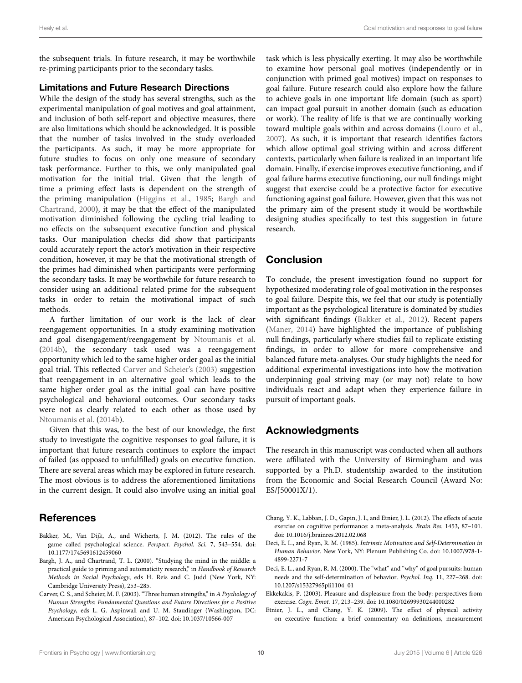the subsequent trials. In future research, it may be worthwhile re-priming participants prior to the secondary tasks.

#### Limitations and Future Research Directions

While the design of the study has several strengths, such as the experimental manipulation of goal motives and goal attainment, and inclusion of both self-report and objective measures, there are also limitations which should be acknowledged. It is possible that the number of tasks involved in the study overloaded the participants. As such, it may be more appropriate for future studies to focus on only one measure of secondary task performance. Further to this, we only manipulated goal motivation for the initial trial. Given that the length of time a priming effect lasts is dependent on the strength of the primi[ng](#page-9-5) [manipulation](#page-9-5) [\(Higgins et al., 1985](#page-10-25)[;](#page-9-5) Bargh and Chartrand, [2000\)](#page-9-5), it may be that the effect of the manipulated motivation diminished following the cycling trial leading to no effects on the subsequent executive function and physical tasks. Our manipulation checks did show that participants could accurately report the actor's motivation in their respective condition, however, it may be that the motivational strength of the primes had diminished when participants were performing the secondary tasks. It may be worthwhile for future research to consider using an additional related prime for the subsequent tasks in order to retain the motivational impact of such methods.

A further limitation of our work is the lack of clear reengagement opportunities. In a study examining motivation and goal disengagement/reengagement by [Ntoumanis et al.](#page-10-6) [\(2014b](#page-10-6)), the secondary task used was a reengagement opportunity which led to the same higher order goal as the initial goal trial. This reflected [Carver and Scheier](#page-9-0)'s [\(2003\)](#page-9-0) suggestion that reengagement in an alternative goal which leads to the same higher order goal as the initial goal can have positive psychological and behavioral outcomes. Our secondary tasks were not as clearly related to each other as those used by [Ntoumanis et al.](#page-10-6) [\(2014b](#page-10-6)).

Given that this was, to the best of our knowledge, the first study to investigate the cognitive responses to goal failure, it is important that future research continues to explore the impact of failed (as opposed to unfulfilled) goals on executive function. There are several areas which may be explored in future research. The most obvious is to address the aforementioned limitations in the current design. It could also involve using an initial goal

## References

- <span id="page-9-7"></span>Bakker, M., Van Dijk, A., and Wicherts, J. M. (2012). The rules of the game called psychological science. *Perspect. Psychol. Sci.* 7, 543–554. doi: 10.1177/1745691612459060
- <span id="page-9-5"></span>Bargh, J. A., and Chartrand, T. L. (2000). "Studying the mind in the middle: a practical guide to priming and automaticity research," in *Handbook of Research Methods in Social Psychology*, eds H. Reis and C. Judd (New York, NY: Cambridge University Press), 253–285.
- <span id="page-9-0"></span>Carver, C. S., and Scheier, M. F. (2003). "Three human strengths," in *A Psychology of Human Strengths: Fundamental Questions and Future Directions for a Positive Psychology*, eds L. G. Aspinwall and U. M. Staudinger (Washington, DC: American Psychological Association), 87–102. doi: 10.1037/10566-007

task which is less physically exerting. It may also be worthwhile to examine how personal goal motives (independently or in conjunction with primed goal motives) impact on responses to goal failure. Future research could also explore how the failure to achieve goals in one important life domain (such as sport) can impact goal pursuit in another domain (such as education or work). The reality of life is that we are continually working toward multiple goals within and across domains [\(Louro et al.](#page-10-26), [2007\)](#page-10-26). As such, it is important that research identifies factors which allow optimal goal striving within and across different contexts, particularly when failure is realized in an important life domain. Finally, if exercise improves executive functioning, and if goal failure harms executive functioning, our null findings might suggest that exercise could be a protective factor for executive functioning against goal failure. However, given that this was not the primary aim of the present study it would be worthwhile designing studies specifically to test this suggestion in future research.

## Conclusion

To conclude, the present investigation found no support for hypothesized moderating role of goal motivation in the responses to goal failure. Despite this, we feel that our study is potentially important as the psychological literature is dominated by studies with significant findings [\(Bakker et al.](#page-9-7), [2012](#page-9-7)). Recent papers [\(Maner](#page-10-27), [2014\)](#page-10-27) have highlighted the importance of publishing null findings, particularly where studies fail to replicate existing findings, in order to allow for more comprehensive and balanced future meta-analyses. Our study highlights the need for additional experimental investigations into how the motivation underpinning goal striving may (or may not) relate to how individuals react and adapt when they experience failure in pursuit of important goals.

## Acknowledgments

The research in this manuscript was conducted when all authors were affiliated with the University of Birmingham and was supported by a Ph.D. studentship awarded to the institution from the Economic and Social Research Council (Award No: ES/J50001X/1).

- <span id="page-9-6"></span>Chang, Y. K., Labban, J. D., Gapin, J. I., and Etnier, J. L. (2012). The effects of acute exercise on cognitive performance: a meta-analysis. *Brain Res.* 1453, 87–101. doi: 10.1016/j.brainres.2012.02.068
- <span id="page-9-2"></span>Deci, E. L., and Ryan, R. M. (1985). *Intrinsic Motivation and Self-Determination in Human Behavior*. New York, NY: Plenum Publishing Co. doi: 10.1007/978-1- 4899-2271-7
- <span id="page-9-3"></span>Deci, E. L., and Ryan, R. M. (2000). The "what" and "why" of goal pursuits: human needs and the self-determination of behavior. *Psychol. Inq.* 11, 227–268. doi: 10.1207/s15327965pli1104\_01
- <span id="page-9-4"></span>Ekkekakis, P. (2003). Pleasure and displeasure from the body: perspectives from exercise. *Cogn. Emot.* 17, 213–239. doi: 10.1080/02699930244000282
- <span id="page-9-1"></span>Etnier, J. L., and Chang, Y. K. (2009). The effect of physical activity on executive function: a brief commentary on definitions, measurement